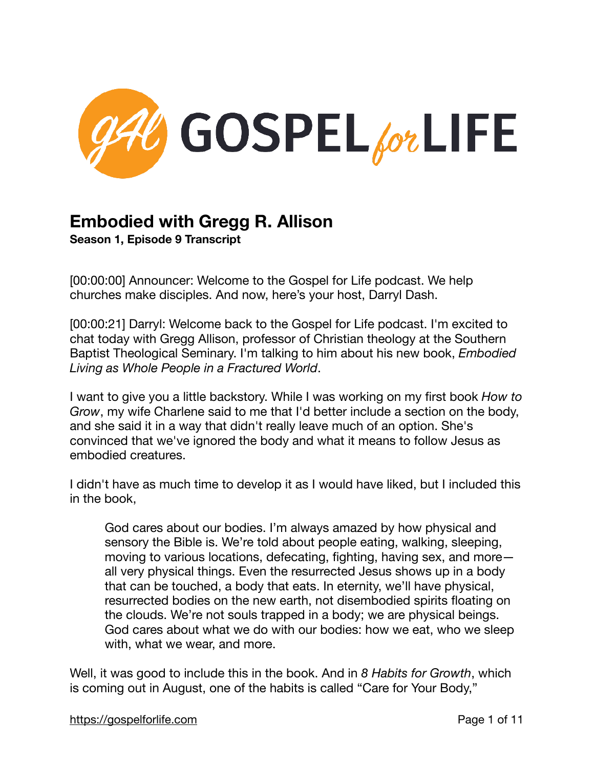

## **Embodied with Gregg R. Allison**

**Season 1, Episode 9 Transcript** 

[00:00:00] Announcer: Welcome to the Gospel for Life podcast. We help churches make disciples. And now, here's your host, Darryl Dash.

[00:00:21] Darryl: Welcome back to the Gospel for Life podcast. I'm excited to chat today with Gregg Allison, professor of Christian theology at the Southern Baptist Theological Seminary. I'm talking to him about his new book, *Embodied Living as Whole People in a Fractured World*.

I want to give you a little backstory. While I was working on my first book *How to Grow*, my wife Charlene said to me that I'd better include a section on the body, and she said it in a way that didn't really leave much of an option. She's convinced that we've ignored the body and what it means to follow Jesus as embodied creatures.

I didn't have as much time to develop it as I would have liked, but I included this in the book,

God cares about our bodies. I'm always amazed by how physical and sensory the Bible is. We're told about people eating, walking, sleeping, moving to various locations, defecating, fighting, having sex, and more all very physical things. Even the resurrected Jesus shows up in a body that can be touched, a body that eats. In eternity, we'll have physical, resurrected bodies on the new earth, not disembodied spirits floating on the clouds. We're not souls trapped in a body; we are physical beings. God cares about what we do with our bodies: how we eat, who we sleep with, what we wear, and more.

Well, it was good to include this in the book. And in *8 Habits for Growth*, which is coming out in August, one of the habits is called "Care for Your Body,"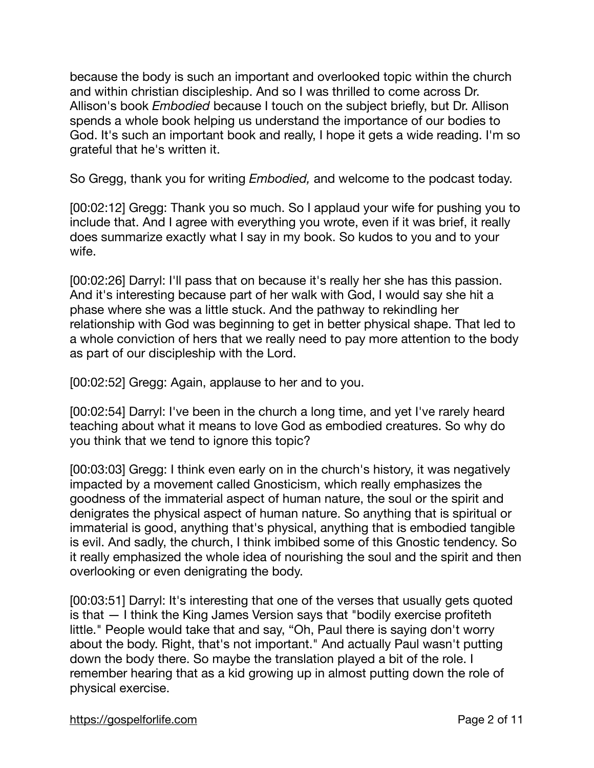because the body is such an important and overlooked topic within the church and within christian discipleship. And so I was thrilled to come across Dr. Allison's book *Embodied* because I touch on the subject briefly, but Dr. Allison spends a whole book helping us understand the importance of our bodies to God. It's such an important book and really, I hope it gets a wide reading. I'm so grateful that he's written it.  $\overline{a}$ 

So Gregg, thank you for writing *Embodied,* and welcome to the podcast today.

[00:02:12] Gregg: Thank you so much. So I applaud your wife for pushing you to include that. And I agree with everything you wrote, even if it was brief, it really does summarize exactly what I say in my book. So kudos to you and to your wife.

[00:02:26] Darryl: I'll pass that on because it's really her she has this passion. And it's interesting because part of her walk with God, I would say she hit a phase where she was a little stuck. And the pathway to rekindling her relationship with God was beginning to get in better physical shape. That led to a whole conviction of hers that we really need to pay more attention to the body as part of our discipleship with the Lord.

[00:02:52] Gregg: Again, applause to her and to you. Ĩ.

[00:02:54] Darryl: I've been in the church a long time, and yet I've rarely heard teaching about what it means to love God as embodied creatures. So why do you think that we tend to ignore this topic? Ĩ.

[00:03:03] Gregg: I think even early on in the church's history, it was negatively impacted by a movement called Gnosticism, which really emphasizes the goodness of the immaterial aspect of human nature, the soul or the spirit and denigrates the physical aspect of human nature. So anything that is spiritual or immaterial is good, anything that's physical, anything that is embodied tangible is evil. And sadly, the church, I think imbibed some of this Gnostic tendency. So it really emphasized the whole idea of nourishing the soul and the spirit and then overlooking or even denigrating the body.

[00:03:51] Darryl: It's interesting that one of the verses that usually gets quoted is that — I think the King James Version says that "bodily exercise profiteth little." People would take that and say, "Oh, Paul there is saying don't worry about the body. Right, that's not important." And actually Paul wasn't putting down the body there. So maybe the translation played a bit of the role. I remember hearing that as a kid growing up in almost putting down the role of physical exercise.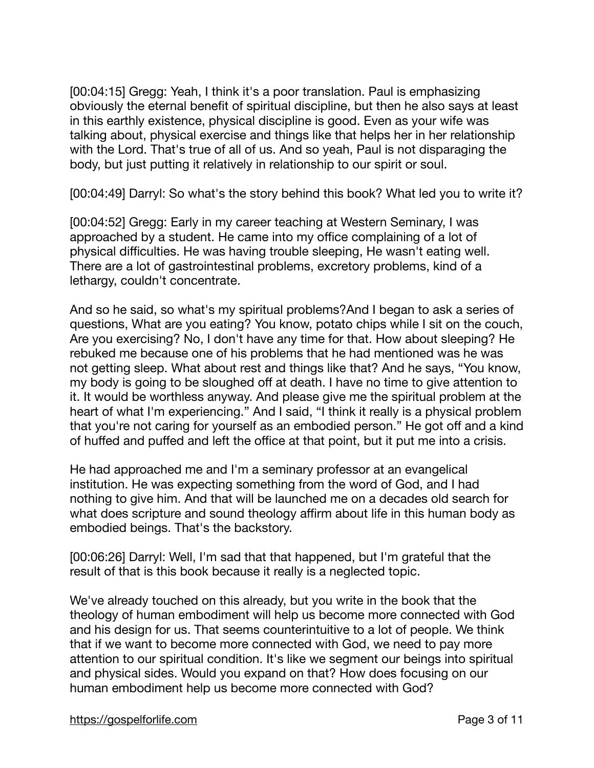[00:04:15] Gregg: Yeah, I think it's a poor translation. Paul is emphasizing obviously the eternal benefit of spiritual discipline, but then he also says at least in this earthly existence, physical discipline is good. Even as your wife was talking about, physical exercise and things like that helps her in her relationship with the Lord. That's true of all of us. And so yeah, Paul is not disparaging the body, but just putting it relatively in relationship to our spirit or soul.

[00:04:49] Darryl: So what's the story behind this book? What led you to write it? Ĩ.

[00:04:52] Gregg: Early in my career teaching at Western Seminary, I was approached by a student. He came into my office complaining of a lot of physical difficulties. He was having trouble sleeping, He wasn't eating well. There are a lot of gastrointestinal problems, excretory problems, kind of a lethargy, couldn't concentrate.

And so he said, so what's my spiritual problems?And I began to ask a series of questions, What are you eating? You know, potato chips while I sit on the couch, Are you exercising? No, I don't have any time for that. How about sleeping? He rebuked me because one of his problems that he had mentioned was he was not getting sleep. What about rest and things like that? And he says, "You know, my body is going to be sloughed off at death. I have no time to give attention to it. It would be worthless anyway. And please give me the spiritual problem at the heart of what I'm experiencing." And I said, "I think it really is a physical problem that you're not caring for yourself as an embodied person." He got off and a kind of huffed and puffed and left the office at that point, but it put me into a crisis.

He had approached me and I'm a seminary professor at an evangelical institution. He was expecting something from the word of God, and I had nothing to give him. And that will be launched me on a decades old search for what does scripture and sound theology affirm about life in this human body as embodied beings. That's the backstory.

[00:06:26] Darryl: Well, I'm sad that that happened, but I'm grateful that the result of that is this book because it really is a neglected topic.

We've already touched on this already, but you write in the book that the theology of human embodiment will help us become more connected with God and his design for us. That seems counterintuitive to a lot of people. We think that if we want to become more connected with God, we need to pay more attention to our spiritual condition. It's like we segment our beings into spiritual and physical sides. Would you expand on that? How does focusing on our human embodiment help us become more connected with God?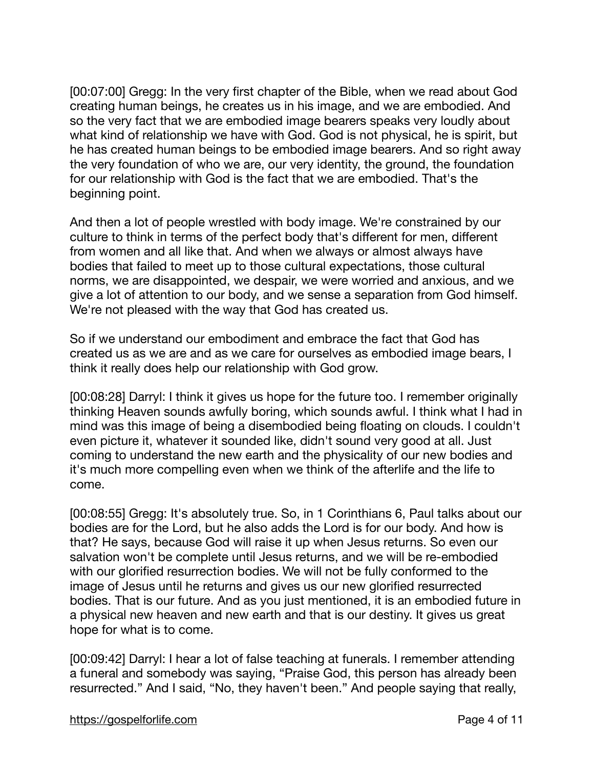[00:07:00] Gregg: In the very first chapter of the Bible, when we read about God creating human beings, he creates us in his image, and we are embodied. And so the very fact that we are embodied image bearers speaks very loudly about what kind of relationship we have with God. God is not physical, he is spirit, but he has created human beings to be embodied image bearers. And so right away the very foundation of who we are, our very identity, the ground, the foundation for our relationship with God is the fact that we are embodied. That's the beginning point.

And then a lot of people wrestled with body image. We're constrained by our culture to think in terms of the perfect body that's different for men, different from women and all like that. And when we always or almost always have bodies that failed to meet up to those cultural expectations, those cultural norms, we are disappointed, we despair, we were worried and anxious, and we give a lot of attention to our body, and we sense a separation from God himself. We're not pleased with the way that God has created us.

So if we understand our embodiment and embrace the fact that God has created us as we are and as we care for ourselves as embodied image bears, I think it really does help our relationship with God grow.

[00:08:28] Darryl: I think it gives us hope for the future too. I remember originally thinking Heaven sounds awfully boring, which sounds awful. I think what I had in mind was this image of being a disembodied being floating on clouds. I couldn't even picture it, whatever it sounded like, didn't sound very good at all. Just coming to understand the new earth and the physicality of our new bodies and it's much more compelling even when we think of the afterlife and the life to come.

[00:08:55] Gregg: It's absolutely true. So, in 1 Corinthians 6, Paul talks about our bodies are for the Lord, but he also adds the Lord is for our body. And how is that? He says, because God will raise it up when Jesus returns. So even our salvation won't be complete until Jesus returns, and we will be re-embodied with our glorified resurrection bodies. We will not be fully conformed to the image of Jesus until he returns and gives us our new glorified resurrected bodies. That is our future. And as you just mentioned, it is an embodied future in a physical new heaven and new earth and that is our destiny. It gives us great hope for what is to come.

[00:09:42] Darryl: I hear a lot of false teaching at funerals. I remember attending a funeral and somebody was saying, "Praise God, this person has already been resurrected." And I said, "No, they haven't been." And people saying that really,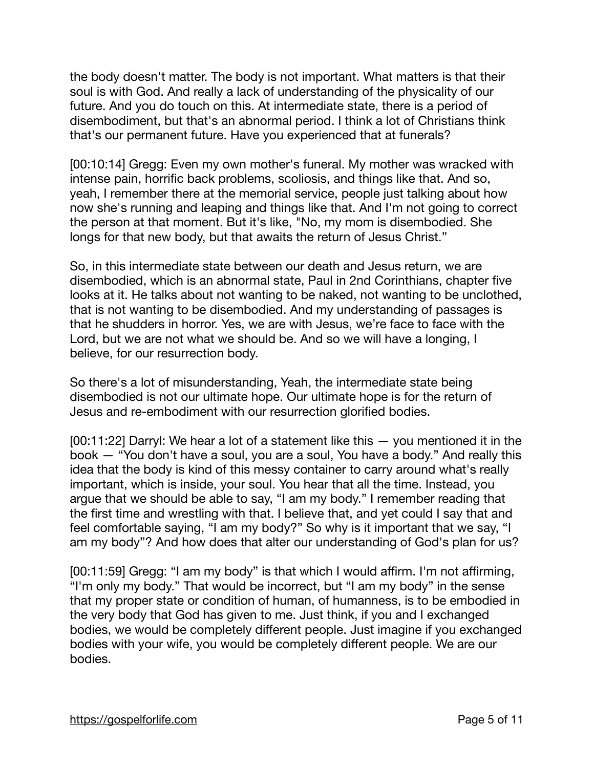the body doesn't matter. The body is not important. What matters is that their soul is with God. And really a lack of understanding of the physicality of our future. And you do touch on this. At intermediate state, there is a period of disembodiment, but that's an abnormal period. I think a lot of Christians think that's our permanent future. Have you experienced that at funerals?

[00:10:14] Gregg: Even my own mother's funeral. My mother was wracked with intense pain, horrific back problems, scoliosis, and things like that. And so, yeah, I remember there at the memorial service, people just talking about how now she's running and leaping and things like that. And I'm not going to correct the person at that moment. But it's like, "No, my mom is disembodied. She longs for that new body, but that awaits the return of Jesus Christ."

So, in this intermediate state between our death and Jesus return, we are disembodied, which is an abnormal state, Paul in 2nd Corinthians, chapter five looks at it. He talks about not wanting to be naked, not wanting to be unclothed, that is not wanting to be disembodied. And my understanding of passages is that he shudders in horror. Yes, we are with Jesus, we're face to face with the Lord, but we are not what we should be. And so we will have a longing, I believe, for our resurrection body.

So there's a lot of misunderstanding, Yeah, the intermediate state being disembodied is not our ultimate hope. Our ultimate hope is for the return of Jesus and re-embodiment with our resurrection glorified bodies.

[00:11:22] Darryl: We hear a lot of a statement like this — you mentioned it in the book — "You don't have a soul, you are a soul, You have a body." And really this idea that the body is kind of this messy container to carry around what's really important, which is inside, your soul. You hear that all the time. Instead, you argue that we should be able to say, "I am my body." I remember reading that the first time and wrestling with that. I believe that, and yet could I say that and feel comfortable saying, "I am my body?" So why is it important that we say, "I am my body"? And how does that alter our understanding of God's plan for us?

[00:11:59] Gregg: "I am my body" is that which I would affirm. I'm not affirming, "I'm only my body." That would be incorrect, but "I am my body" in the sense that my proper state or condition of human, of humanness, is to be embodied in the very body that God has given to me. Just think, if you and I exchanged bodies, we would be completely different people. Just imagine if you exchanged bodies with your wife, you would be completely different people. We are our bodies.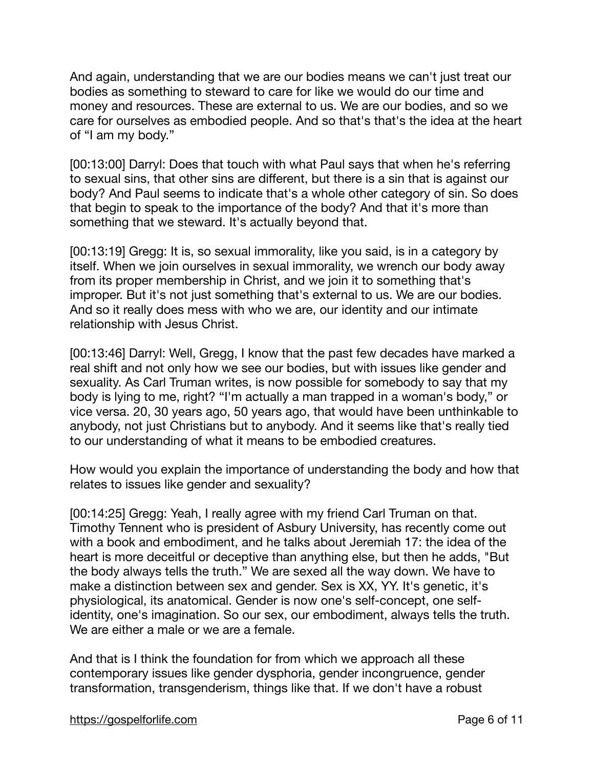And again, understanding that we are our bodies means we can't just treat our bodies as something to steward to care for like we would do our time and money and resources. These are external to us. We are our bodies, and so we care for ourselves as embodied people. And so that's that's the idea at the heart of "I am my body."

[00:13:00] Darryl: Does that touch with what Paul says that when he's referring to sexual sins, that other sins are different, but there is a sin that is against our body? And Paul seems to indicate that's a whole other category of sin. So does that begin to speak to the importance of the body? And that it's more than something that we steward. It's actually beyond that.

[00:13:19] Gregg: It is, so sexual immorality, like you said, is in a category by itself. When we join ourselves in sexual immorality, we wrench our body away from its proper membership in Christ, and we join it to something that's improper. But it's not just something that's external to us. We are our bodies. And so it really does mess with who we are, our identity and our intimate relationship with Jesus Christ.

[00:13:46] Darryl: Well, Gregg, I know that the past few decades have marked a real shift and not only how we see our bodies, but with issues like gender and sexuality. As Carl Truman writes, is now possible for somebody to say that my body is lying to me, right? "I'm actually a man trapped in a woman's body," or vice versa. 20, 30 years ago, 50 years ago, that would have been unthinkable to anybody, not just Christians but to anybody. And it seems like that's really tied to our understanding of what it means to be embodied creatures.

How would you explain the importance of understanding the body and how that relates to issues like gender and sexuality?

[00:14:25] Gregg: Yeah, I really agree with my friend Carl Truman on that. Timothy Tennent who is president of Asbury University, has recently come out with a book and embodiment, and he talks about Jeremiah 17: the idea of the heart is more deceitful or deceptive than anything else, but then he adds, "But the body always tells the truth." We are sexed all the way down. We have to make a distinction between sex and gender. Sex is XX, YY. It's genetic, it's physiological, its anatomical. Gender is now one's self-concept, one selfidentity, one's imagination. So our sex, our embodiment, always tells the truth. We are either a male or we are a female.

And that is I think the foundation for from which we approach all these contemporary issues like gender dysphoria, gender incongruence, gender transformation, transgenderism, things like that. If we don't have a robust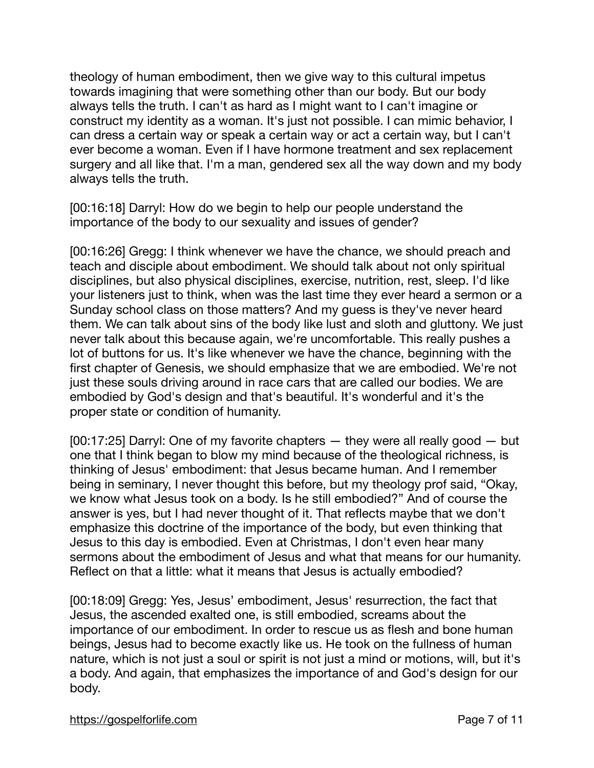theology of human embodiment, then we give way to this cultural impetus towards imagining that were something other than our body. But our body always tells the truth. I can't as hard as I might want to I can't imagine or construct my identity as a woman. It's just not possible. I can mimic behavior, I can dress a certain way or speak a certain way or act a certain way, but I can't ever become a woman. Even if I have hormone treatment and sex replacement surgery and all like that. I'm a man, gendered sex all the way down and my body always tells the truth.

[00:16:18] Darryl: How do we begin to help our people understand the importance of the body to our sexuality and issues of gender?

[00:16:26] Gregg: I think whenever we have the chance, we should preach and teach and disciple about embodiment. We should talk about not only spiritual disciplines, but also physical disciplines, exercise, nutrition, rest, sleep. I'd like your listeners just to think, when was the last time they ever heard a sermon or a Sunday school class on those matters? And my guess is they've never heard them. We can talk about sins of the body like lust and sloth and gluttony. We just never talk about this because again, we're uncomfortable. This really pushes a lot of buttons for us. It's like whenever we have the chance, beginning with the first chapter of Genesis, we should emphasize that we are embodied. We're not just these souls driving around in race cars that are called our bodies. We are embodied by God's design and that's beautiful. It's wonderful and it's the proper state or condition of humanity. i,

[00:17:25] Darryl: One of my favorite chapters — they were all really good — but one that I think began to blow my mind because of the theological richness, is thinking of Jesus' embodiment: that Jesus became human. And I remember being in seminary, I never thought this before, but my theology prof said, "Okay, we know what Jesus took on a body. Is he still embodied?" And of course the answer is yes, but I had never thought of it. That reflects maybe that we don't emphasize this doctrine of the importance of the body, but even thinking that Jesus to this day is embodied. Even at Christmas, I don't even hear many sermons about the embodiment of Jesus and what that means for our humanity. Reflect on that a little: what it means that Jesus is actually embodied?

[00:18:09] Gregg: Yes, Jesus' embodiment, Jesus' resurrection, the fact that Jesus, the ascended exalted one, is still embodied, screams about the importance of our embodiment. In order to rescue us as flesh and bone human beings, Jesus had to become exactly like us. He took on the fullness of human nature, which is not just a soul or spirit is not just a mind or motions, will, but it's a body. And again, that emphasizes the importance of and God's design for our body.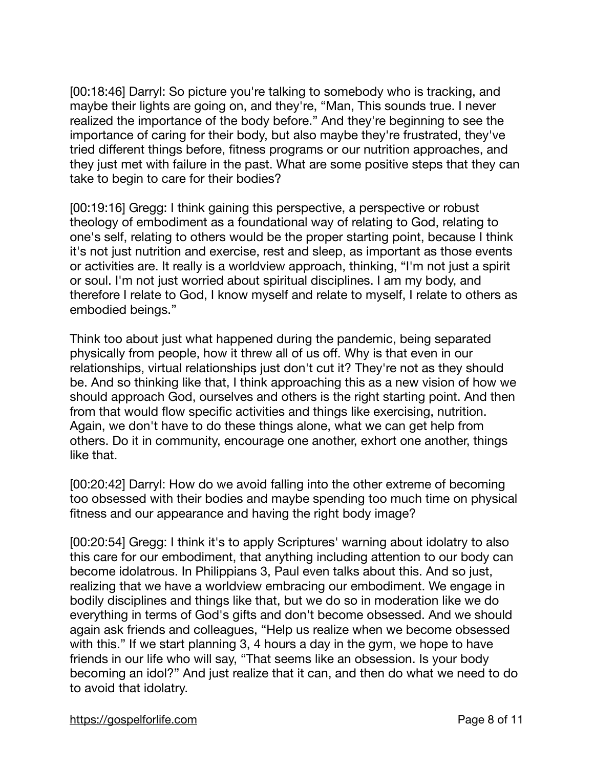[00:18:46] Darryl: So picture you're talking to somebody who is tracking, and maybe their lights are going on, and they're, "Man, This sounds true. I never realized the importance of the body before." And they're beginning to see the importance of caring for their body, but also maybe they're frustrated, they've tried different things before, fitness programs or our nutrition approaches, and they just met with failure in the past. What are some positive steps that they can take to begin to care for their bodies?

[00:19:16] Gregg: I think gaining this perspective, a perspective or robust theology of embodiment as a foundational way of relating to God, relating to one's self, relating to others would be the proper starting point, because I think it's not just nutrition and exercise, rest and sleep, as important as those events or activities are. It really is a worldview approach, thinking, "I'm not just a spirit or soul. I'm not just worried about spiritual disciplines. I am my body, and therefore I relate to God, I know myself and relate to myself, I relate to others as embodied beings."

Think too about just what happened during the pandemic, being separated physically from people, how it threw all of us off. Why is that even in our relationships, virtual relationships just don't cut it? They're not as they should be. And so thinking like that, I think approaching this as a new vision of how we should approach God, ourselves and others is the right starting point. And then from that would flow specific activities and things like exercising, nutrition. Again, we don't have to do these things alone, what we can get help from others. Do it in community, encourage one another, exhort one another, things like that.

[00:20:42] Darryl: How do we avoid falling into the other extreme of becoming too obsessed with their bodies and maybe spending too much time on physical fitness and our appearance and having the right body image?

[00:20:54] Gregg: I think it's to apply Scriptures' warning about idolatry to also this care for our embodiment, that anything including attention to our body can become idolatrous. In Philippians 3, Paul even talks about this. And so just, realizing that we have a worldview embracing our embodiment. We engage in bodily disciplines and things like that, but we do so in moderation like we do everything in terms of God's gifts and don't become obsessed. And we should again ask friends and colleagues, "Help us realize when we become obsessed with this." If we start planning 3, 4 hours a day in the gym, we hope to have friends in our life who will say, "That seems like an obsession. Is your body becoming an idol?" And just realize that it can, and then do what we need to do to avoid that idolatry.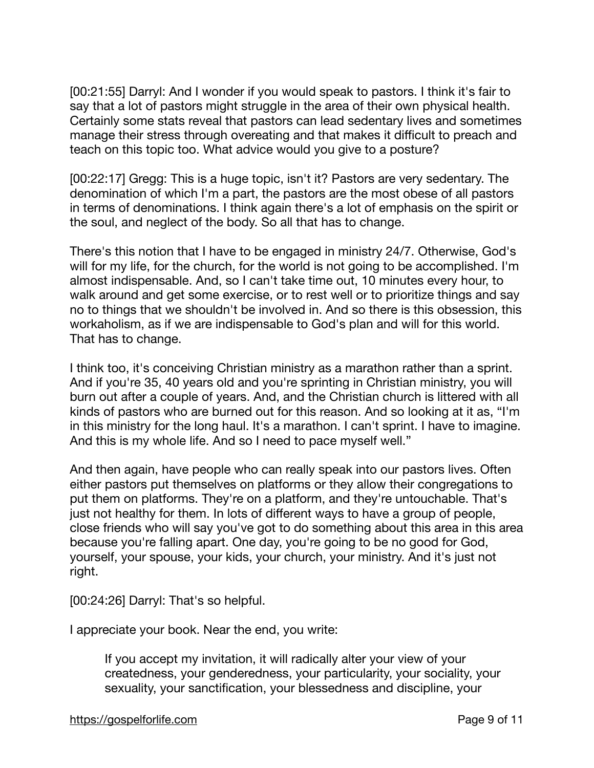[00:21:55] Darryl: And I wonder if you would speak to pastors. I think it's fair to say that a lot of pastors might struggle in the area of their own physical health. Certainly some stats reveal that pastors can lead sedentary lives and sometimes manage their stress through overeating and that makes it difficult to preach and teach on this topic too. What advice would you give to a posture?

[00:22:17] Gregg: This is a huge topic, isn't it? Pastors are very sedentary. The denomination of which I'm a part, the pastors are the most obese of all pastors in terms of denominations. I think again there's a lot of emphasis on the spirit or the soul, and neglect of the body. So all that has to change.

There's this notion that I have to be engaged in ministry 24/7. Otherwise, God's will for my life, for the church, for the world is not going to be accomplished. I'm almost indispensable. And, so I can't take time out, 10 minutes every hour, to walk around and get some exercise, or to rest well or to prioritize things and say no to things that we shouldn't be involved in. And so there is this obsession, this workaholism, as if we are indispensable to God's plan and will for this world. That has to change.

I think too, it's conceiving Christian ministry as a marathon rather than a sprint. And if you're 35, 40 years old and you're sprinting in Christian ministry, you will burn out after a couple of years. And, and the Christian church is littered with all kinds of pastors who are burned out for this reason. And so looking at it as, "I'm in this ministry for the long haul. It's a marathon. I can't sprint. I have to imagine. And this is my whole life. And so I need to pace myself well."

And then again, have people who can really speak into our pastors lives. Often either pastors put themselves on platforms or they allow their congregations to put them on platforms. They're on a platform, and they're untouchable. That's just not healthy for them. In lots of different ways to have a group of people, close friends who will say you've got to do something about this area in this area because you're falling apart. One day, you're going to be no good for God, yourself, your spouse, your kids, your church, your ministry. And it's just not right.

[00:24:26] Darryl: That's so helpful. Ĩ,

I appreciate your book. Near the end, you write:

If you accept my invitation, it will radically alter your view of your createdness, your genderedness, your particularity, your sociality, your sexuality, your sanctification, your blessedness and discipline, your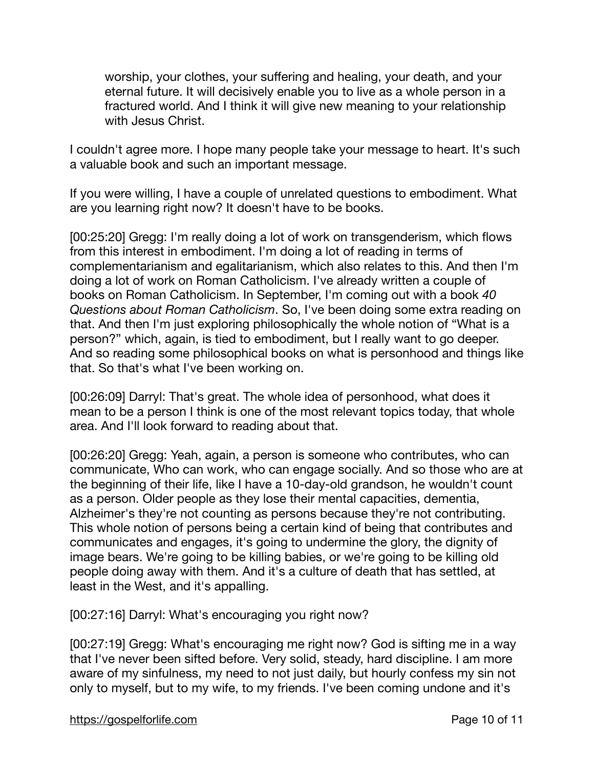worship, your clothes, your suffering and healing, your death, and your eternal future. It will decisively enable you to live as a whole person in a fractured world. And I think it will give new meaning to your relationship with Jesus Christ.

I couldn't agree more. I hope many people take your message to heart. It's such a valuable book and such an important message.

If you were willing, I have a couple of unrelated questions to embodiment. What are you learning right now? It doesn't have to be books.

[00:25:20] Gregg: I'm really doing a lot of work on transgenderism, which flows from this interest in embodiment. I'm doing a lot of reading in terms of complementarianism and egalitarianism, which also relates to this. And then I'm doing a lot of work on Roman Catholicism. I've already written a couple of books on Roman Catholicism. In September, I'm coming out with a book *40 Questions about Roman Catholicism*. So, I've been doing some extra reading on that. And then I'm just exploring philosophically the whole notion of "What is a person?" which, again, is tied to embodiment, but I really want to go deeper. And so reading some philosophical books on what is personhood and things like that. So that's what I've been working on.

[00:26:09] Darryl: That's great. The whole idea of personhood, what does it mean to be a person I think is one of the most relevant topics today, that whole area. And I'll look forward to reading about that.

[00:26:20] Gregg: Yeah, again, a person is someone who contributes, who can communicate, Who can work, who can engage socially. And so those who are at the beginning of their life, like I have a 10-day-old grandson, he wouldn't count as a person. Older people as they lose their mental capacities, dementia, Alzheimer's they're not counting as persons because they're not contributing. This whole notion of persons being a certain kind of being that contributes and communicates and engages, it's going to undermine the glory, the dignity of image bears. We're going to be killing babies, or we're going to be killing old people doing away with them. And it's a culture of death that has settled, at least in the West, and it's appalling.

[00:27:16] Darryl: What's encouraging you right now? Ĩ,

[00:27:19] Gregg: What's encouraging me right now? God is sifting me in a way that I've never been sifted before. Very solid, steady, hard discipline. I am more aware of my sinfulness, my need to not just daily, but hourly confess my sin not only to myself, but to my wife, to my friends. I've been coming undone and it's